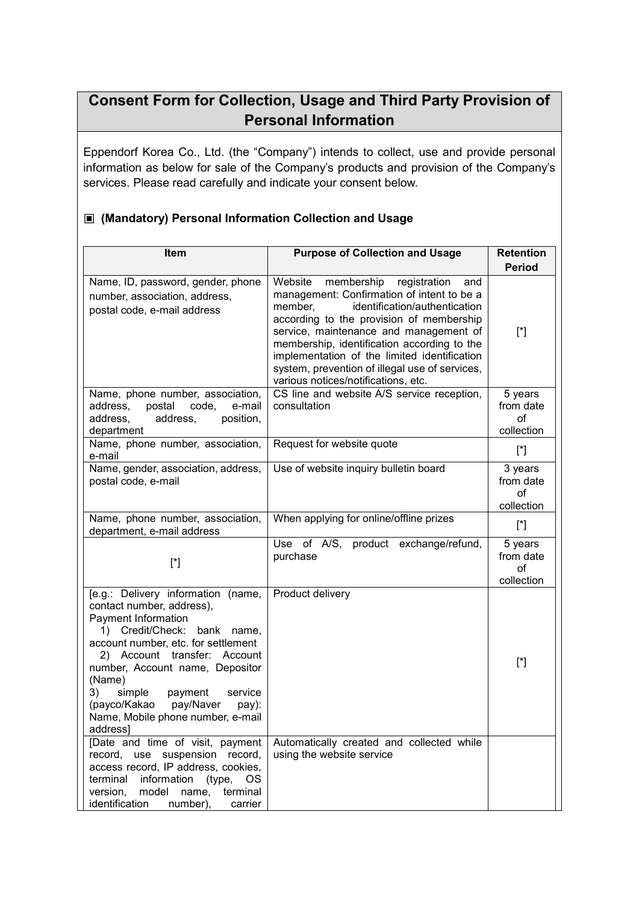# **Consent Form for Collection, Usage and Third Party Provision of Personal Information**

Eppendorf Korea Co., Ltd. (the "Company") intends to collect, use and provide personal information as below for sale of the Company's products and provision of the Company's services. Please read carefully and indicate your consent below.

#### **▣ (Mandatory) Personal Information Collection and Usage**

| Item                                                                                                                                                                                                                                                                                                                                                                   | <b>Purpose of Collection and Usage</b>                                                                                                                                                                                                                                                                                                                                                                            | <b>Retention</b>                         |
|------------------------------------------------------------------------------------------------------------------------------------------------------------------------------------------------------------------------------------------------------------------------------------------------------------------------------------------------------------------------|-------------------------------------------------------------------------------------------------------------------------------------------------------------------------------------------------------------------------------------------------------------------------------------------------------------------------------------------------------------------------------------------------------------------|------------------------------------------|
|                                                                                                                                                                                                                                                                                                                                                                        |                                                                                                                                                                                                                                                                                                                                                                                                                   | <b>Period</b>                            |
| Name, ID, password, gender, phone<br>number, association, address,<br>postal code, e-mail address                                                                                                                                                                                                                                                                      | Website<br>membership registration<br>and<br>management: Confirmation of intent to be a<br>identification/authentication<br>member,<br>according to the provision of membership<br>service, maintenance and management of<br>membership, identification according to the<br>implementation of the limited identification<br>system, prevention of illegal use of services,<br>various notices/notifications, etc. | $[^*]$                                   |
| Name, phone number, association,<br>address,<br>postal<br>code,<br>e-mail<br>address,<br>address,<br>position,<br>department                                                                                                                                                                                                                                           | CS line and website A/S service reception,<br>consultation                                                                                                                                                                                                                                                                                                                                                        | 5 years<br>from date<br>of<br>collection |
| Name, phone number, association,<br>e-mail                                                                                                                                                                                                                                                                                                                             | Request for website quote                                                                                                                                                                                                                                                                                                                                                                                         | $[^*]$                                   |
| Name, gender, association, address,<br>postal code, e-mail                                                                                                                                                                                                                                                                                                             | Use of website inquiry bulletin board                                                                                                                                                                                                                                                                                                                                                                             | 3 years<br>from date<br>оf<br>collection |
| Name, phone number, association,<br>department, e-mail address                                                                                                                                                                                                                                                                                                         | When applying for online/offline prizes                                                                                                                                                                                                                                                                                                                                                                           | $[^*]$                                   |
| $[^*]$                                                                                                                                                                                                                                                                                                                                                                 | Use of A/S, product exchange/refund,<br>purchase                                                                                                                                                                                                                                                                                                                                                                  | 5 years<br>from date<br>οf<br>collection |
| [e.g.: Delivery information (name,<br>contact number, address),<br>Payment Information<br>1) Credit/Check: bank name,<br>account number, etc. for settlement<br>2) Account transfer: Account<br>number, Account name, Depositor<br>(Name)<br>simple<br>payment<br>3)<br>service<br>(payco/Kakao<br>pay/Naver<br>pay):<br>Name, Mobile phone number, e-mail<br>address] | Product delivery                                                                                                                                                                                                                                                                                                                                                                                                  | $[^*]$                                   |
| [Date and time of visit, payment<br>record,<br>use suspension record,<br>access record, IP address, cookies,<br>information<br>terminal<br>(type,<br><b>OS</b><br>model<br>terminal<br>version,<br>name,<br>identification<br>number),<br>carrier                                                                                                                      | Automatically created and collected while<br>using the website service                                                                                                                                                                                                                                                                                                                                            |                                          |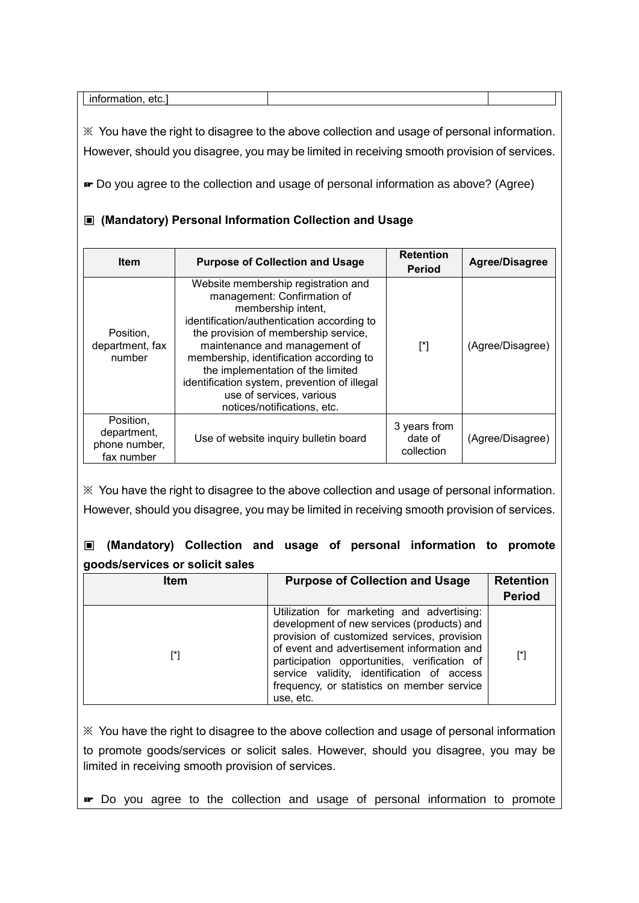|  | ^ተሶ<br>--<br>еu. |  |  |
|--|------------------|--|--|
|--|------------------|--|--|

※ You have the right to disagree to the above collection and usage of personal information. However, should you disagree, you may be limited in receiving smooth provision of services.

☞ Do you agree to the collection and usage of personal information as above? (Agree)

#### **▣ (Mandatory) Personal Information Collection and Usage**

| <b>Item</b>                                             | <b>Purpose of Collection and Usage</b>                                                                                                                                                                                                                                                                                                                                                                     | <b>Retention</b><br><b>Period</b>     | Agree/Disagree   |
|---------------------------------------------------------|------------------------------------------------------------------------------------------------------------------------------------------------------------------------------------------------------------------------------------------------------------------------------------------------------------------------------------------------------------------------------------------------------------|---------------------------------------|------------------|
| Position,<br>department, fax<br>number                  | Website membership registration and<br>management: Confirmation of<br>membership intent,<br>identification/authentication according to<br>the provision of membership service,<br>maintenance and management of<br>membership, identification according to<br>the implementation of the limited<br>identification system, prevention of illegal<br>use of services, various<br>notices/notifications, etc. | [*]                                   | (Agree/Disagree) |
| Position,<br>department,<br>phone number,<br>fax number | Use of website inquiry bulletin board                                                                                                                                                                                                                                                                                                                                                                      | 3 years from<br>date of<br>collection | (Agree/Disagree) |

※ You have the right to disagree to the above collection and usage of personal information. However, should you disagree, you may be limited in receiving smooth provision of services.

## **▣ (Mandatory) Collection and usage of personal information to promote goods/services or solicit sales**

| ltem | <b>Purpose of Collection and Usage</b>                                                                                                                                                                                                                                                                                                         | <b>Retention</b><br><b>Period</b> |
|------|------------------------------------------------------------------------------------------------------------------------------------------------------------------------------------------------------------------------------------------------------------------------------------------------------------------------------------------------|-----------------------------------|
| [*]  | Utilization for marketing and advertising:<br>development of new services (products) and<br>provision of customized services, provision<br>of event and advertisement information and<br>participation opportunities, verification of<br>service validity, identification of access<br>frequency, or statistics on member service<br>use, etc. | [*]                               |

※ You have the right to disagree to the above collection and usage of personal information to promote goods/services or solicit sales. However, should you disagree, you may be limited in receiving smooth provision of services.

☞ Do you agree to the collection and usage of personal information to promote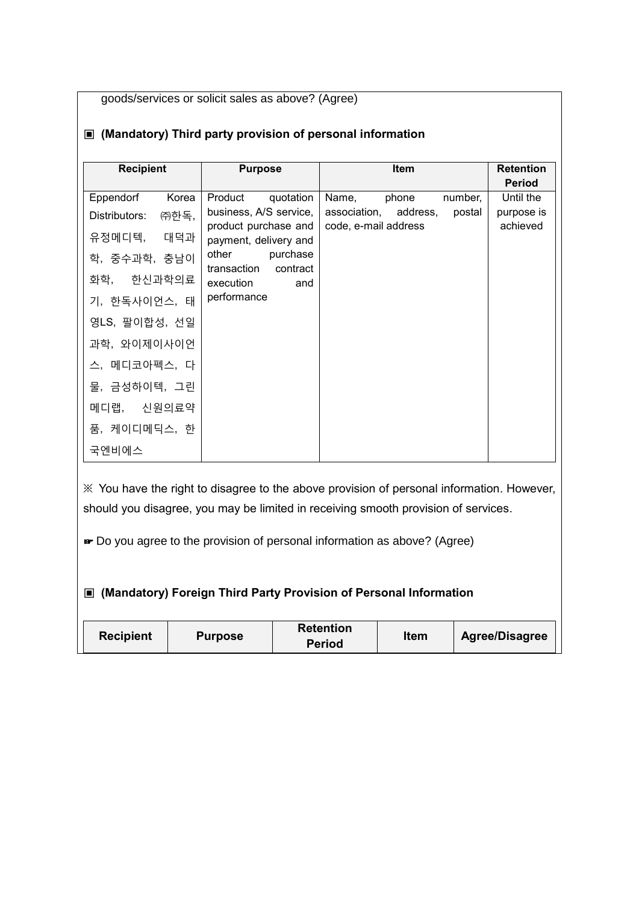goods/services or solicit sales as above? (Agree)

| <b>Recipient</b>      | <b>Purpose</b>                                 | <b>Item</b>                                             | <b>Retention</b>       |
|-----------------------|------------------------------------------------|---------------------------------------------------------|------------------------|
|                       |                                                |                                                         | <b>Period</b>          |
| Eppendorf<br>Korea    | Product<br>quotation                           | Name,<br>phone<br>number,                               | Until the              |
| Distributors:<br>㈜한독, | business, A/S service,<br>product purchase and | association, address,<br>postal<br>code, e-mail address | purpose is<br>achieved |
| 유정메디텍, 대덕과            | payment, delivery and                          |                                                         |                        |
| 학, 중수과학, 충남이          | other<br>purchase<br>transaction<br>contract   |                                                         |                        |
| 화학, 한신과학의료            | execution<br>and                               |                                                         |                        |
| 기, 한독사이언스, 태          | performance                                    |                                                         |                        |
| 영LS, 팔이합성, 선일         |                                                |                                                         |                        |
| 과학, 와이제이사이언           |                                                |                                                         |                        |
| 스, 메디코아펙스, 다          |                                                |                                                         |                        |
| 물, 금성하이텍, 그린          |                                                |                                                         |                        |
| 메디랩, 신원의료약            |                                                |                                                         |                        |
| 품, 케이디메딕스, 한          |                                                |                                                         |                        |
| 국엔비에스                 |                                                |                                                         |                        |

## **▣ (Mandatory) Third party provision of personal information**

※ You have the right to disagree to the above provision of personal information. However, should you disagree, you may be limited in receiving smooth provision of services.

☞ Do you agree to the provision of personal information as above? (Agree)

## **▣ (Mandatory) Foreign Third Party Provision of Personal Information**

| <b>Retention</b><br>Recipient<br><b>Purpose</b><br><b>Period</b> | ltem | <b>Agree/Disagree</b> |
|------------------------------------------------------------------|------|-----------------------|
|------------------------------------------------------------------|------|-----------------------|